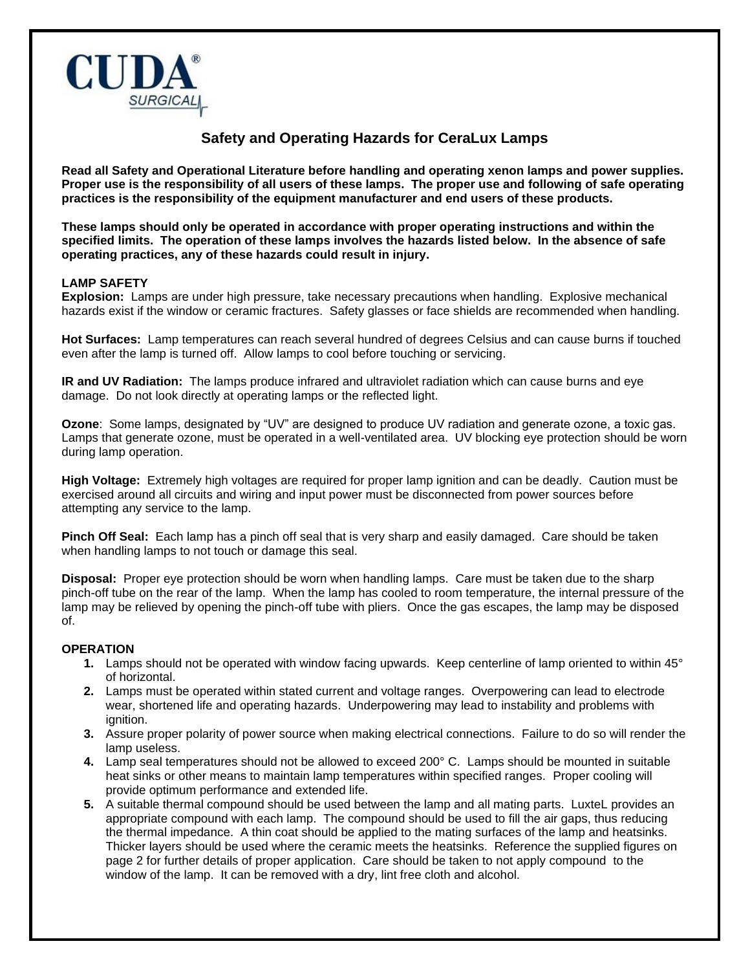

## **Safety and Operating Hazards for CeraLux Lamps**

**Read all Safety and Operational Literature before handling and operating xenon lamps and power supplies. Proper use is the responsibility of all users of these lamps. The proper use and following of safe operating practices is the responsibility of the equipment manufacturer and end users of these products.** 

**These lamps should only be operated in accordance with proper operating instructions and within the specified limits. The operation of these lamps involves the hazards listed below. In the absence of safe operating practices, any of these hazards could result in injury.**

## **LAMP SAFETY**

**Explosion:** Lamps are under high pressure, take necessary precautions when handling. Explosive mechanical hazards exist if the window or ceramic fractures. Safety glasses or face shields are recommended when handling.

**Hot Surfaces:** Lamp temperatures can reach several hundred of degrees Celsius and can cause burns if touched even after the lamp is turned off. Allow lamps to cool before touching or servicing.

**IR and UV Radiation:** The lamps produce infrared and ultraviolet radiation which can cause burns and eye damage. Do not look directly at operating lamps or the reflected light.

**Ozone**: Some lamps, designated by "UV" are designed to produce UV radiation and generate ozone, a toxic gas. Lamps that generate ozone, must be operated in a well-ventilated area. UV blocking eye protection should be worn during lamp operation.

**High Voltage:** Extremely high voltages are required for proper lamp ignition and can be deadly. Caution must be exercised around all circuits and wiring and input power must be disconnected from power sources before attempting any service to the lamp.

**Pinch Off Seal:** Each lamp has a pinch off seal that is very sharp and easily damaged. Care should be taken when handling lamps to not touch or damage this seal.

**Disposal:** Proper eye protection should be worn when handling lamps. Care must be taken due to the sharp pinch-off tube on the rear of the lamp. When the lamp has cooled to room temperature, the internal pressure of the lamp may be relieved by opening the pinch-off tube with pliers. Once the gas escapes, the lamp may be disposed of.

## **OPERATION**

- **1.** Lamps should not be operated with window facing upwards. Keep centerline of lamp oriented to within 45° of horizontal.
- **2.** Lamps must be operated within stated current and voltage ranges. Overpowering can lead to electrode wear, shortened life and operating hazards. Underpowering may lead to instability and problems with ignition.
- **3.** Assure proper polarity of power source when making electrical connections. Failure to do so will render the lamp useless.
- **4.** Lamp seal temperatures should not be allowed to exceed 200° C. Lamps should be mounted in suitable heat sinks or other means to maintain lamp temperatures within specified ranges. Proper cooling will provide optimum performance and extended life.
- **5.** A suitable thermal compound should be used between the lamp and all mating parts. LuxteL provides an appropriate compound with each lamp. The compound should be used to fill the air gaps, thus reducing the thermal impedance. A thin coat should be applied to the mating surfaces of the lamp and heatsinks. Thicker layers should be used where the ceramic meets the heatsinks. Reference the supplied figures on page 2 for further details of proper application. Care should be taken to not apply compound to the window of the lamp. It can be removed with a dry, lint free cloth and alcohol.